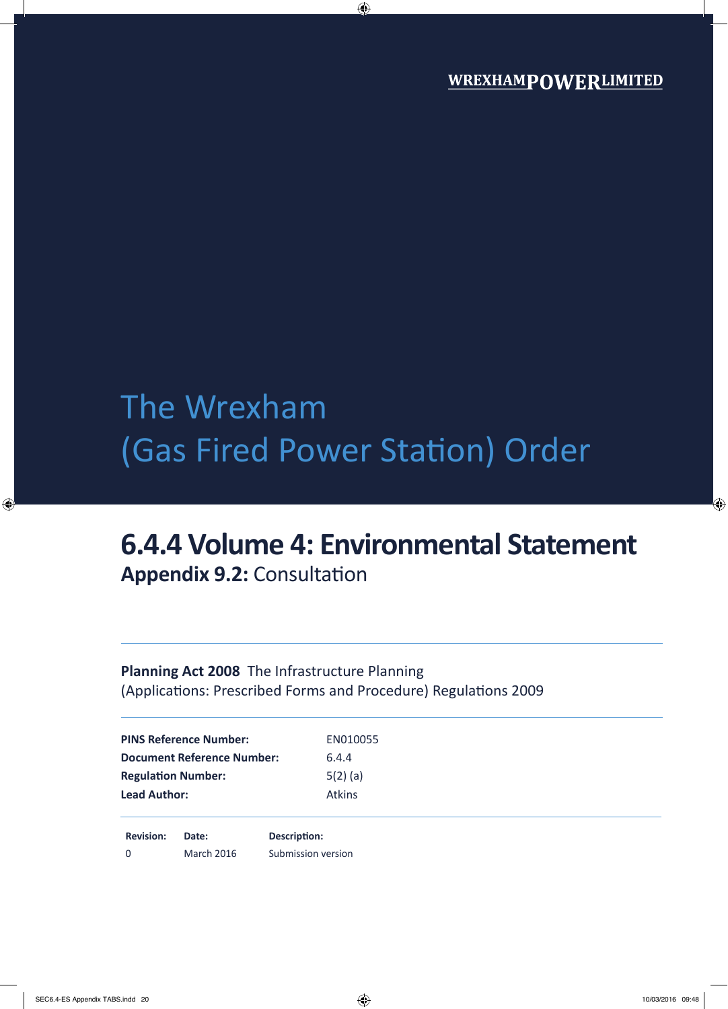# The Wrexham (Gas Fired Power Station) Order

## **6.4.4 Volume 4: Environmental Statement Appendix 9.2:** Consultation

## **Planning Act 2008** The Infrastructure Planning (Applications: Prescribed Forms and Procedure) Regulations 2009

| 6.4.4         |  |
|---------------|--|
|               |  |
| $5(2)$ (a)    |  |
| <b>Atkins</b> |  |
|               |  |

**Revision: Date: Description:** 0 March 2016 Submission version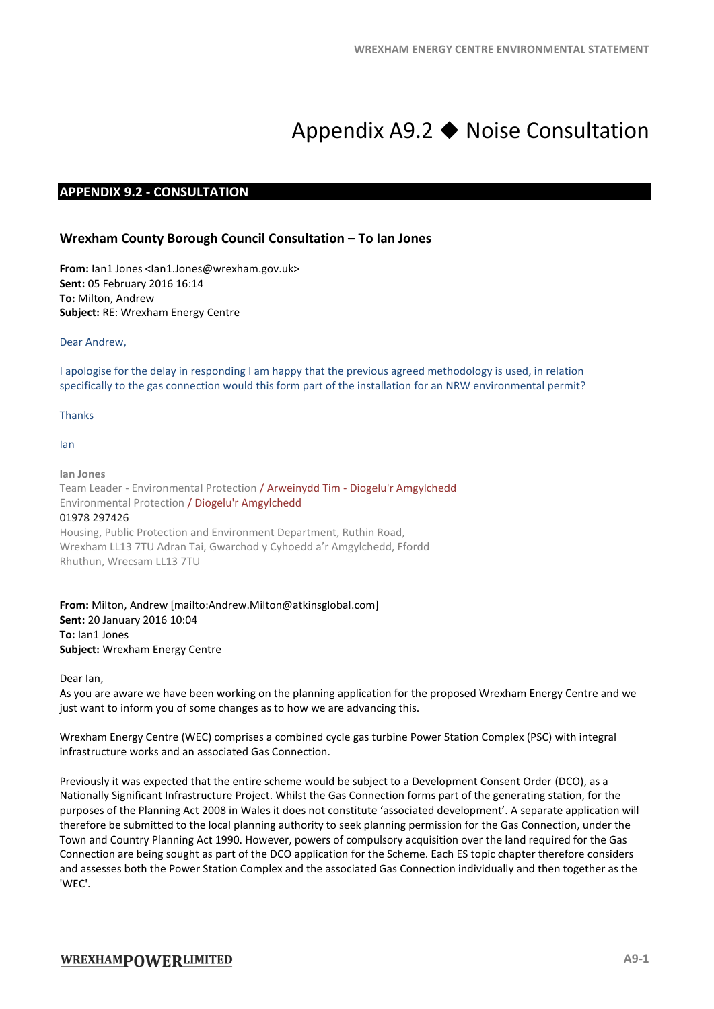## Appendix A9.2 Noise Consultation

#### **APPENDIX 9.2 - CONSULTATION**

#### **Wrexham County Borough Council Consultation – To Ian Jones**

**From:** Ian1 Jones <Ian1.Jones@wrexham.gov.uk> **Sent:** 05 February 2016 16:14 **To:** Milton, Andrew **Subject:** RE: Wrexham Energy Centre

#### Dear Andrew,

I apologise for the delay in responding I am happy that the previous agreed methodology is used, in relation specifically to the gas connection would this form part of the installation for an NRW environmental permit?

Thanks

Ian

**Ian Jones** Team Leader - Environmental Protection / Arweinydd Tim - Diogelu'r Amgylchedd Environmental Protection / Diogelu'r Amgylchedd 01978 297426 Housing, Public Protection and Environment Department, Ruthin Road, Wrexham LL13 7TU Adran Tai, Gwarchod y Cyhoedd a'r Amgylchedd, Ffordd Rhuthun, Wrecsam LL13 7TU

**From:** Milton, Andrew [mailto:Andrew.Milton@atkinsglobal.com] **Sent:** 20 January 2016 10:04 **To:** Ian1 Jones **Subject:** Wrexham Energy Centre

Dear Ian,

As you are aware we have been working on the planning application for the proposed Wrexham Energy Centre and we just want to inform you of some changes as to how we are advancing this.

Wrexham Energy Centre (WEC) comprises a combined cycle gas turbine Power Station Complex (PSC) with integral infrastructure works and an associated Gas Connection.

Previously it was expected that the entire scheme would be subject to a Development Consent Order (DCO), as a Nationally Significant Infrastructure Project. Whilst the Gas Connection forms part of the generating station, for the purposes of the Planning Act 2008 in Wales it does not constitute 'associated development'. A separate application will therefore be submitted to the local planning authority to seek planning permission for the Gas Connection, under the Town and Country Planning Act 1990. However, powers of compulsory acquisition over the land required for the Gas Connection are being sought as part of the DCO application for the Scheme. Each ES topic chapter therefore considers and assesses both the Power Station Complex and the associated Gas Connection individually and then together as the 'WEC'.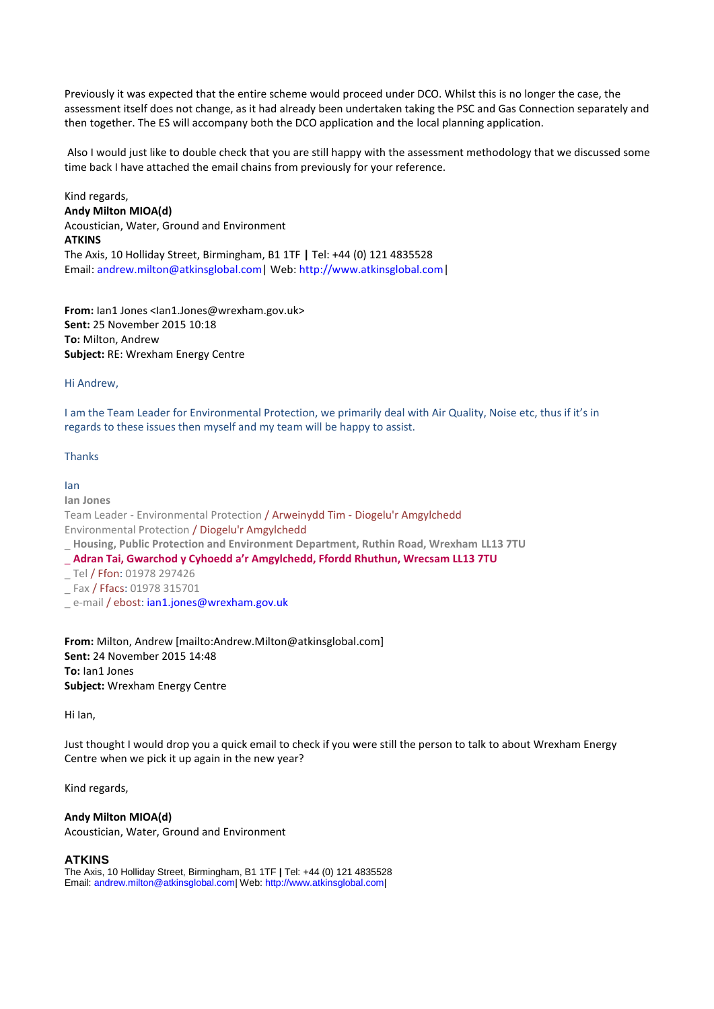Previously it was expected that the entire scheme would proceed under DCO. Whilst this is no longer the case, the assessment itself does not change, as it had already been undertaken taking the PSC and Gas Connection separately and then together. The ES will accompany both the DCO application and the local planning application.

Also I would just like to double check that you are still happy with the assessment methodology that we discussed some time back I have attached the email chains from previously for your reference.

Kind regards, **Andy Milton MIOA(d)** Acoustician, Water, Ground and Environment **ATKINS** The Axis, 10 Holliday Street, Birmingham, B1 1TF **|** Tel: +44 (0) 121 4835528 Email: andrew.milton@atkinsglobal.com| Web: http://www.atkinsglobal.com|

**From:** Ian1 Jones <Ian1.Jones@wrexham.gov.uk> **Sent:** 25 November 2015 10:18 **To:** Milton, Andrew **Subject:** RE: Wrexham Energy Centre

Hi Andrew,

I am the Team Leader for Environmental Protection, we primarily deal with Air Quality, Noise etc, thus if it's in regards to these issues then myself and my team will be happy to assist.

#### Thanks

#### Ian

**Ian Jones**

Team Leader - Environmental Protection / Arweinydd Tim - Diogelu'r Amgylchedd Environmental Protection / Diogelu'r Amgylchedd \_ **Housing, Public Protection and Environment Department, Ruthin Road, Wrexham LL13 7TU**

- \_ **Adran Tai, Gwarchod y Cyhoedd a'r Amgylchedd, Ffordd Rhuthun, Wrecsam LL13 7TU**
- \_ Tel / Ffon: 01978 297426
- \_ Fax / Ffacs: 01978 315701
- e-mail / ebost: ian1.jones@wrexham.gov.uk

**From:** Milton, Andrew [mailto:Andrew.Milton@atkinsglobal.com] **Sent:** 24 November 2015 14:48 **To:** Ian1 Jones **Subject:** Wrexham Energy Centre

Hi Ian,

Just thought I would drop you a quick email to check if you were still the person to talk to about Wrexham Energy Centre when we pick it up again in the new year?

Kind regards,

#### **Andy Milton MIOA(d)**

Acoustician, Water, Ground and Environment

#### **ATKINS**

The Axis, 10 Holliday Street, Birmingham, B1 1TF **|** Tel: +44 (0) 121 4835528 Email: andrew.milton@atkinsglobal.com| Web: http://www.atkinsglobal.com|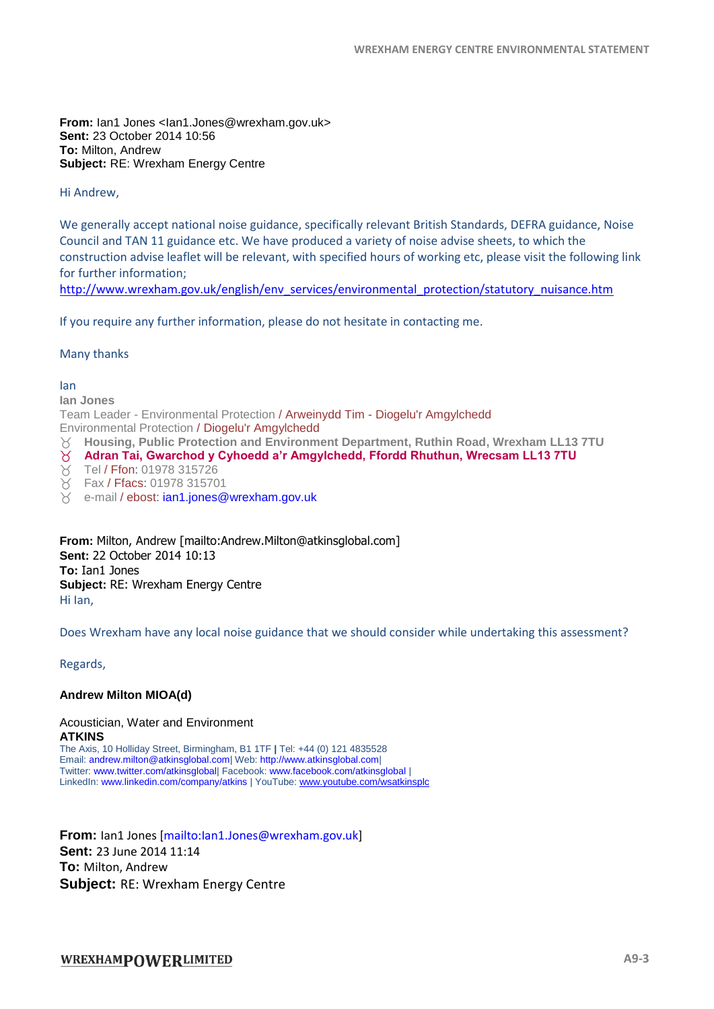**From:** lan1 Jones <lan1.Jones@wrexham.gov.uk> **Sent:** 23 October 2014 10:56 **To:** Milton, Andrew **Subject:** RE: Wrexham Energy Centre

Hi Andrew,

We generally accept national noise guidance, specifically relevant British Standards, DEFRA guidance, Noise Council and TAN 11 guidance etc. We have produced a variety of noise advise sheets, to which the construction advise leaflet will be relevant, with specified hours of working etc, please visit the following link for further information;

[http://www.wrexham.gov.uk/english/env\\_services/environmental\\_protection/statutory\\_nuisance.htm](http://www.wrexham.gov.uk/english/env_services/environmental_protection/statutory_nuisance.htm)

If you require any further information, please do not hesitate in contacting me.

#### Many thanks

#### Ian

**Ian Jones** Team Leader - Environmental Protection / Arweinydd Tim - Diogelu'r Amgylchedd Environmental Protection / Diogelu'r Amgylchedd **Housing, Public Protection and Environment Department, Ruthin Road, Wrexham LL13 7TU Adran Tai, Gwarchod y Cyhoedd a'r Amgylchedd, Ffordd Rhuthun, Wrecsam LL13 7TU**

- Tel / Ffon: 01978 315726
- Fax / Ffacs: 01978 315701
- $\gamma$  e-mail / ebost: ian1.jones@wrexham.gov.uk

**From:** Milton, Andrew [mailto:Andrew.Milton@atkinsglobal.com] **Sent:** 22 October 2014 10:13 **To:** Ian1 Jones **Subject:** RE: Wrexham Energy Centre Hi Ian,

Does Wrexham have any local noise guidance that we should consider while undertaking this assessment?

Regards,

#### **Andrew Milton MIOA(d)**

#### Acoustician, Water and Environment **ATKINS**

The Axis, 10 Holliday Street, Birmingham, B1 1TF **|** Tel: +44 (0) 121 4835528 Email: andrew.milton@atkinsglobal.com| Web: http://www.atkinsglobal.com| Twitter: www.twitter.com/atkinsglobal| Facebook: www.facebook.com/atkinsglobal | LinkedIn: www.linkedin.com/company/atkins | YouTube[: www.youtube.com/wsatkinsplc](http://www.youtube.com/wsatkinsplc)

**From:** Ian1 Jones [mailto:Ian1.Jones@wrexham.gov.uk] **Sent:** 23 June 2014 11:14 **To:** Milton, Andrew **Subject:** RE: Wrexham Energy Centre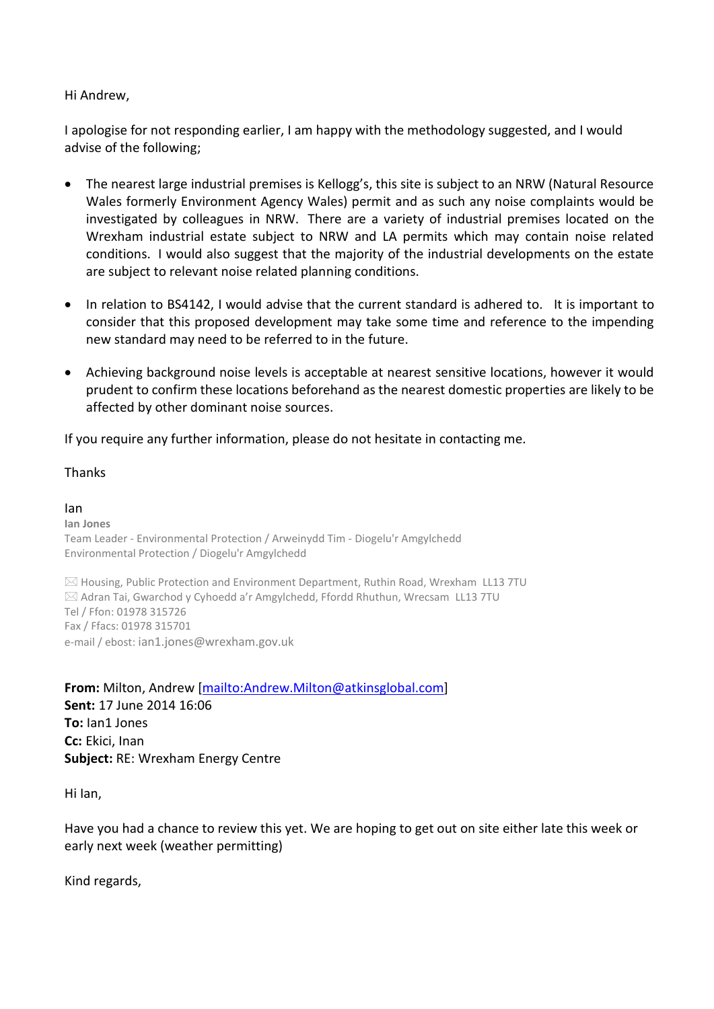## Hi Andrew,

I apologise for not responding earlier, I am happy with the methodology suggested, and I would advise of the following;

- The nearest large industrial premises is Kellogg's, this site is subject to an NRW (Natural Resource Wales formerly Environment Agency Wales) permit and as such any noise complaints would be investigated by colleagues in NRW. There are a variety of industrial premises located on the Wrexham industrial estate subject to NRW and LA permits which may contain noise related conditions. I would also suggest that the majority of the industrial developments on the estate are subject to relevant noise related planning conditions.
- In relation to BS4142, I would advise that the current standard is adhered to. It is important to consider that this proposed development may take some time and reference to the impending new standard may need to be referred to in the future.
- Achieving background noise levels is acceptable at nearest sensitive locations, however it would prudent to confirm these locations beforehand as the nearest domestic properties are likely to be affected by other dominant noise sources.

If you require any further information, please do not hesitate in contacting me.

### Thanks

Ian **Ian Jones** Team Leader - Environmental Protection / Arweinydd Tim - Diogelu'r Amgylchedd Environmental Protection / Diogelu'r Amgylchedd

 $\boxtimes$  Housing, Public Protection and Environment Department, Ruthin Road, Wrexham LL13 7TU  $\boxtimes$  Adran Tai, Gwarchod y Cyhoedd a'r Amgylchedd, Ffordd Rhuthun, Wrecsam LL13 7TU Tel / Ffon: 01978 315726 Fax / Ffacs: 01978 315701 e-mail / ebost: [ian1.jones@wrexham.gov.uk](mailto:paul.herbert@wrexham.gov.uk)

**From:** Milton, Andrew [\[mailto:Andrew.Milton@atkinsglobal.com\]](mailto:Andrew.Milton@atkinsglobal.com) **Sent:** 17 June 2014 16:06 **To:** Ian1 Jones **Cc:** Ekici, Inan **Subject:** RE: Wrexham Energy Centre

Hi Ian,

Have you had a chance to review this yet. We are hoping to get out on site either late this week or early next week (weather permitting)

Kind regards,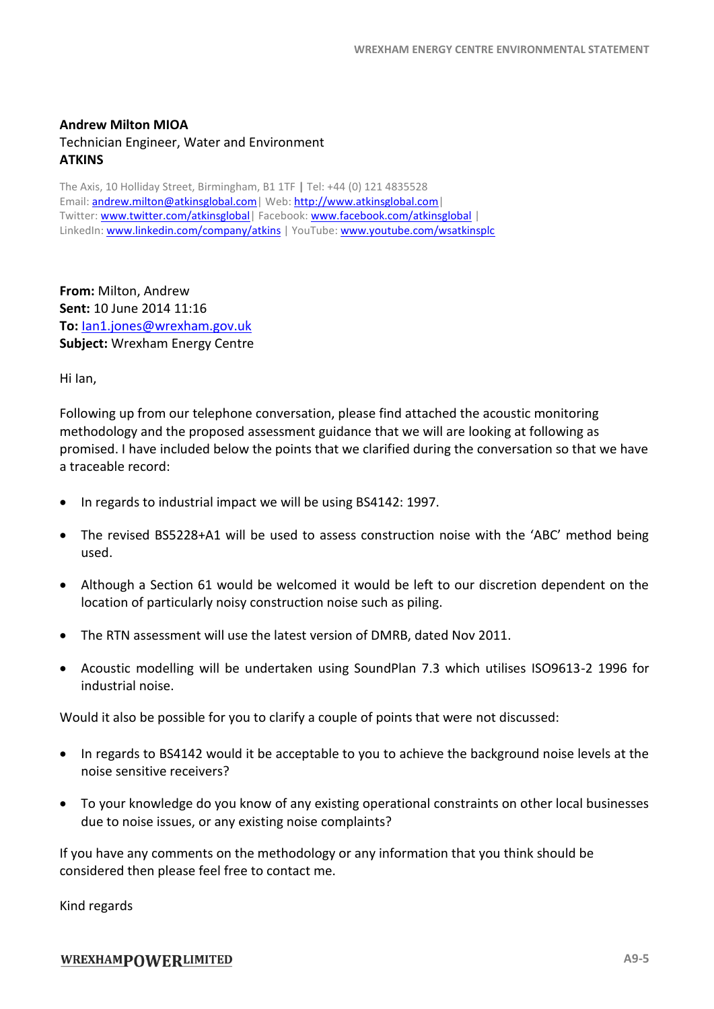## **Andrew Milton MIOA** Technician Engineer, Water and Environment **ATKINS**

The Axis, 10 Holliday Street, Birmingham, B1 1TF **|** Tel: +44 (0) 121 4835528 Email: [andrew.milton@atkinsglobal.com|](mailto:andrew.milton@atkinsglobal.com) Web[: http://www.atkinsglobal.com|](http://www.atkinsglobal.com/) Twitter: [www.twitter.com/atkinsglobal|](http://www.twitter.com/atkinsglobal) Facebook[: www.facebook.com/atkinsglobal](file:///C:/Users/swan2208/AppData/Local/Microsoft/Windows/Temporary%20Internet%20Files/Content.Outlook/K5Q80I5M/www.facebook.com/atkinsglobal) | LinkedIn: [www.linkedin.com/company/atkins](file:///C:/Users/swan2208/AppData/Local/Microsoft/Windows/Temporary%20Internet%20Files/Content.Outlook/K5Q80I5M/www.linkedin.com/company/atkins) | YouTube: [www.youtube.com/wsatkinsplc](file:///C:/Users/swan2208/AppData/Local/Microsoft/Windows/Temporary%20Internet%20Files/Content.Outlook/K5Q80I5M/www.youtube.com/wsatkinsplc)

**From:** Milton, Andrew **Sent:** 10 June 2014 11:16 **To:** [Ian1.jones@wrexham.gov.uk](mailto:Ian1.jones@wrexham.gov.uk) **Subject:** Wrexham Energy Centre

Hi Ian,

Following up from our telephone conversation, please find attached the acoustic monitoring methodology and the proposed assessment guidance that we will are looking at following as promised. I have included below the points that we clarified during the conversation so that we have a traceable record:

- In regards to industrial impact we will be using BS4142: 1997.
- The revised BS5228+A1 will be used to assess construction noise with the 'ABC' method being used.
- Although a Section 61 would be welcomed it would be left to our discretion dependent on the location of particularly noisy construction noise such as piling.
- The RTN assessment will use the latest version of DMRB, dated Nov 2011.
- Acoustic modelling will be undertaken using SoundPlan 7.3 which utilises ISO9613-2 1996 for industrial noise.

Would it also be possible for you to clarify a couple of points that were not discussed:

- In regards to BS4142 would it be acceptable to you to achieve the background noise levels at the noise sensitive receivers?
- To your knowledge do you know of any existing operational constraints on other local businesses due to noise issues, or any existing noise complaints?

If you have any comments on the methodology or any information that you think should be considered then please feel free to contact me.

Kind regards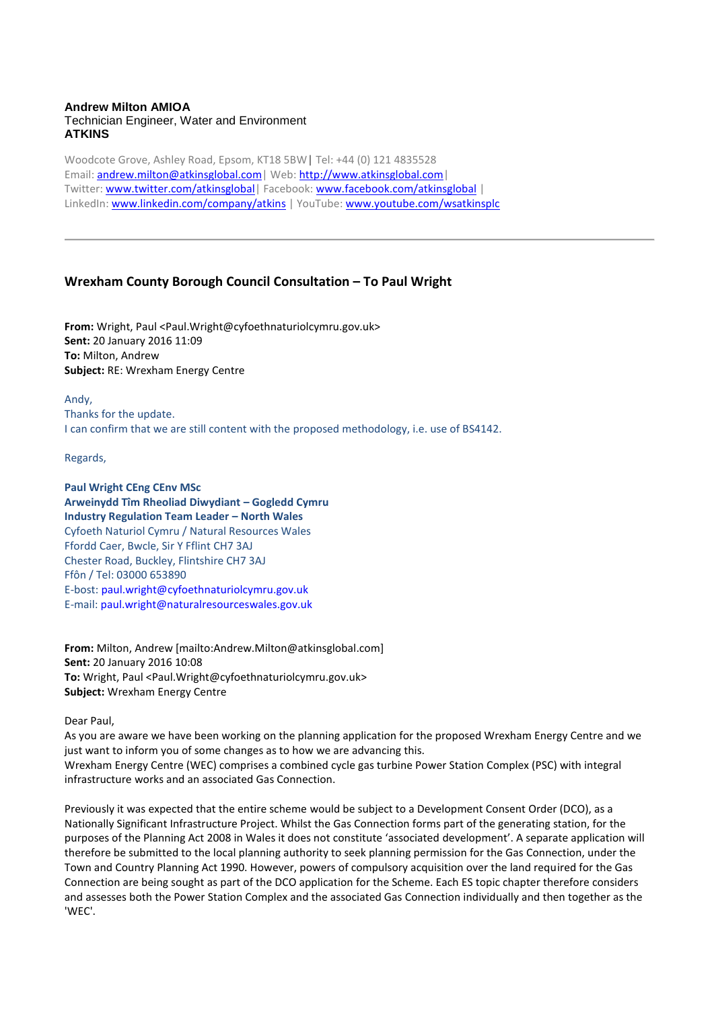#### **Andrew Milton AMIOA** Technician Engineer, Water and Environment **ATKINS**

Woodcote Grove, Ashley Road, Epsom, KT18 5BW**|** Tel: +44 (0) 121 4835528 Email: [andrew.milton@atkinsglobal.com|](mailto:andrew.milton@atkinsglobal.com) Web[: http://www.atkinsglobal.com|](http://www.atkinsglobal.com/) Twitter: [www.twitter.com/atkinsglobal|](http://www.twitter.com/atkinsglobal) Facebook[: www.facebook.com/atkinsglobal](file:///C:/Users/swan2208/AppData/Local/Microsoft/Windows/Temporary%20Internet%20Files/Content.Outlook/K5Q80I5M/www.facebook.com/atkinsglobal) | LinkedIn: [www.linkedin.com/company/atkins](file:///C:/Users/swan2208/AppData/Local/Microsoft/Windows/Temporary%20Internet%20Files/Content.Outlook/K5Q80I5M/www.linkedin.com/company/atkins) | YouTube: [www.youtube.com/wsatkinsplc](file:///C:/Users/swan2208/AppData/Local/Microsoft/Windows/Temporary%20Internet%20Files/Content.Outlook/K5Q80I5M/www.youtube.com/wsatkinsplc)

#### **Wrexham County Borough Council Consultation – To Paul Wright**

**From:** Wright, Paul <Paul.Wright@cyfoethnaturiolcymru.gov.uk> **Sent:** 20 January 2016 11:09 **To:** Milton, Andrew **Subject:** RE: Wrexham Energy Centre

Andy, Thanks for the update. I can confirm that we are still content with the proposed methodology, i.e. use of BS4142.

Regards,

**Paul Wright CEng CEnv MSc Arweinydd Tîm Rheoliad Diwydiant – Gogledd Cymru Industry Regulation Team Leader – North Wales** Cyfoeth Naturiol Cymru / Natural Resources Wales Ffordd Caer, Bwcle, Sir Y Fflint CH7 3AJ Chester Road, Buckley, Flintshire CH7 3AJ Ffôn / Tel: 03000 653890 E-bost: paul.wright@cyfoethnaturiolcymru.gov.uk E-mail: paul.wright@naturalresourceswales.gov.uk

**From:** Milton, Andrew [mailto:Andrew.Milton@atkinsglobal.com] **Sent:** 20 January 2016 10:08 **To:** Wright, Paul <Paul.Wright@cyfoethnaturiolcymru.gov.uk> **Subject:** Wrexham Energy Centre

Dear Paul,

As you are aware we have been working on the planning application for the proposed Wrexham Energy Centre and we just want to inform you of some changes as to how we are advancing this. Wrexham Energy Centre (WEC) comprises a combined cycle gas turbine Power Station Complex (PSC) with integral infrastructure works and an associated Gas Connection.

Previously it was expected that the entire scheme would be subject to a Development Consent Order (DCO), as a Nationally Significant Infrastructure Project. Whilst the Gas Connection forms part of the generating station, for the purposes of the Planning Act 2008 in Wales it does not constitute 'associated development'. A separate application will therefore be submitted to the local planning authority to seek planning permission for the Gas Connection, under the Town and Country Planning Act 1990. However, powers of compulsory acquisition over the land required for the Gas Connection are being sought as part of the DCO application for the Scheme. Each ES topic chapter therefore considers and assesses both the Power Station Complex and the associated Gas Connection individually and then together as the 'WEC'.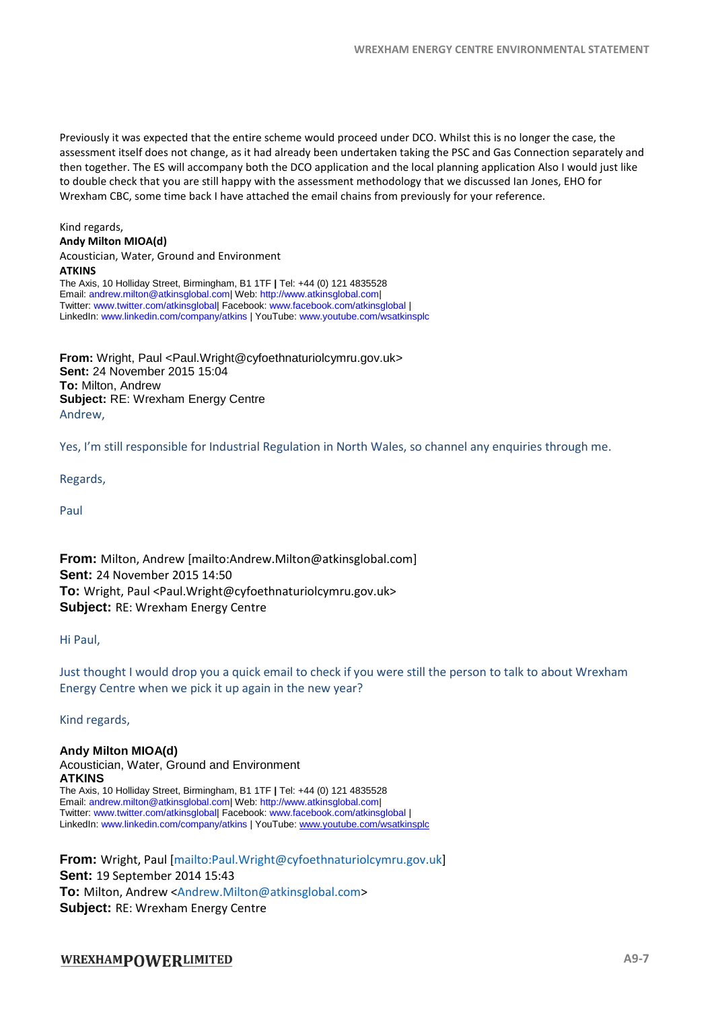Previously it was expected that the entire scheme would proceed under DCO. Whilst this is no longer the case, the assessment itself does not change, as it had already been undertaken taking the PSC and Gas Connection separately and then together. The ES will accompany both the DCO application and the local planning application Also I would just like to double check that you are still happy with the assessment methodology that we discussed Ian Jones, EHO for Wrexham CBC, some time back I have attached the email chains from previously for your reference.

#### Kind regards, **Andy Milton MIOA(d)**

Acoustician, Water, Ground and Environment **ATKINS** The Axis, 10 Holliday Street, Birmingham, B1 1TF **|** Tel: +44 (0) 121 4835528 Email: andrew.milton@atkinsglobal.com| Web: http://www.atkinsglobal.com| Twitter: www.twitter.com/atkinsglobal| Facebook: www.facebook.com/atkinsglobal | LinkedIn: www.linkedin.com/company/atkins | YouTube: www.youtube.com/wsatkinsplc

**From:** Wright, Paul <Paul.Wright@cyfoethnaturiolcymru.gov.uk> **Sent:** 24 November 2015 15:04 **To:** Milton, Andrew **Subject:** RE: Wrexham Energy Centre Andrew,

Yes, I'm still responsible for Industrial Regulation in North Wales, so channel any enquiries through me.

Regards,

Paul

**From:** Milton, Andrew [mailto:Andrew.Milton@atkinsglobal.com] **Sent:** 24 November 2015 14:50 **To:** Wright, Paul <Paul.Wright@cyfoethnaturiolcymru.gov.uk> **Subject:** RE: Wrexham Energy Centre

Hi Paul,

Just thought I would drop you a quick email to check if you were still the person to talk to about Wrexham Energy Centre when we pick it up again in the new year?

Kind regards,

**Andy Milton MIOA(d)** Acoustician, Water, Ground and Environment **ATKINS** The Axis, 10 Holliday Street, Birmingham, B1 1TF **|** Tel: +44 (0) 121 4835528 Email: andrew.milton@atkinsglobal.com| Web: http://www.atkinsglobal.com| Twitter: www.twitter.com/atkinsglobal| Facebook: www.facebook.com/atkinsglobal | LinkedIn: www.linkedin.com/company/atkins | YouTube[: www.youtube.com/wsatkinsplc](http://www.youtube.com/wsatkinsplc)

**From:** Wright, Paul [mailto:Paul.Wright@cyfoethnaturiolcymru.gov.uk] **Sent:** 19 September 2014 15:43 **To:** Milton, Andrew <Andrew.Milton@atkinsglobal.com> **Subject:** RE: Wrexham Energy Centre

#### WREXHAMPOWERLIMITED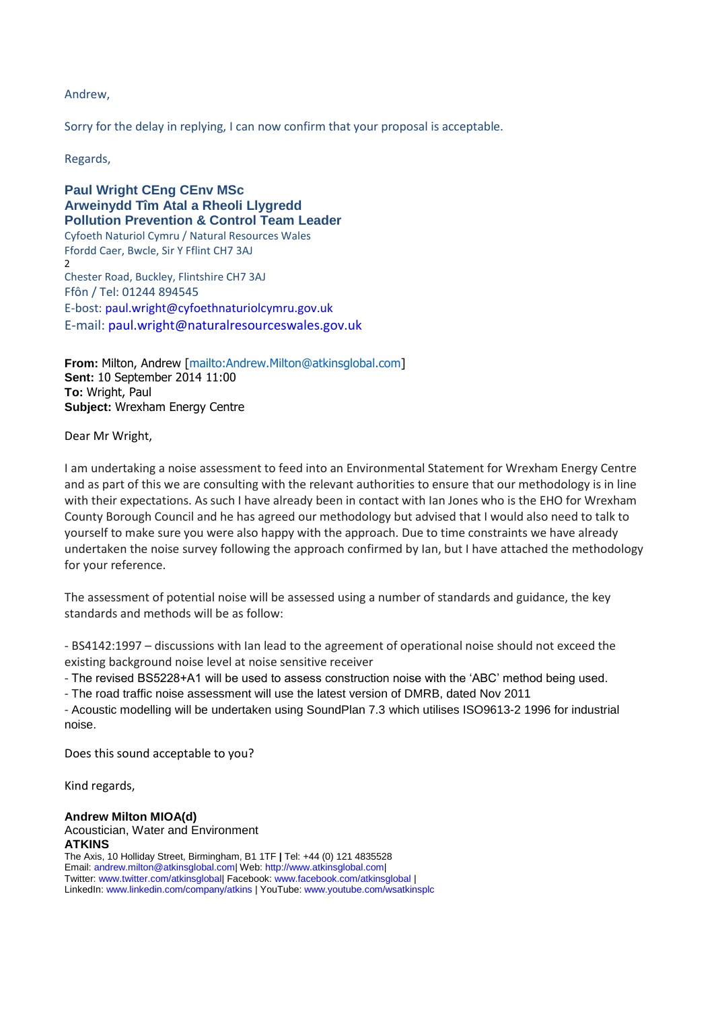#### Andrew,

Sorry for the delay in replying, I can now confirm that your proposal is acceptable.

Regards,

**Paul Wright CEng CEnv MSc Arweinydd Tîm Atal a Rheoli Llygredd Pollution Prevention & Control Team Leader** Cyfoeth Naturiol Cymru / Natural Resources Wales Ffordd Caer, Bwcle, Sir Y Fflint CH7 3AJ  $\overline{2}$ Chester Road, Buckley, Flintshire CH7 3AJ Ffôn / Tel: 01244 894545 E-bost: paul.wright@cyfoethnaturiolcymru.gov.uk E-mail: paul.wright@naturalresourceswales.gov.uk

**From:** Milton, Andrew [mailto:Andrew.Milton@atkinsglobal.com] **Sent:** 10 September 2014 11:00 **To:** Wright, Paul **Subject:** Wrexham Energy Centre

Dear Mr Wright,

I am undertaking a noise assessment to feed into an Environmental Statement for Wrexham Energy Centre and as part of this we are consulting with the relevant authorities to ensure that our methodology is in line with their expectations. As such I have already been in contact with Ian Jones who is the EHO for Wrexham County Borough Council and he has agreed our methodology but advised that I would also need to talk to yourself to make sure you were also happy with the approach. Due to time constraints we have already undertaken the noise survey following the approach confirmed by Ian, but I have attached the methodology for your reference.

The assessment of potential noise will be assessed using a number of standards and guidance, the key standards and methods will be as follow:

- BS4142:1997 – discussions with Ian lead to the agreement of operational noise should not exceed the existing background noise level at noise sensitive receiver

- The revised BS5228+A1 will be used to assess construction noise with the 'ABC' method being used.

- The road traffic noise assessment will use the latest version of DMRB, dated Nov 2011

- Acoustic modelling will be undertaken using SoundPlan 7.3 which utilises ISO9613-2 1996 for industrial noise.

Does this sound acceptable to you?

Kind regards,

#### **Andrew Milton MIOA(d)**

Acoustician, Water and Environment **ATKINS** The Axis, 10 Holliday Street, Birmingham, B1 1TF **|** Tel: +44 (0) 121 4835528 Email: andrew.milton@atkinsglobal.com| Web: http://www.atkinsglobal.com| Twitter: www.twitter.com/atkinsglobal| Facebook: www.facebook.com/atkinsglobal | LinkedIn: www.linkedin.com/company/atkins | YouTube: www.youtube.com/wsatkinsplc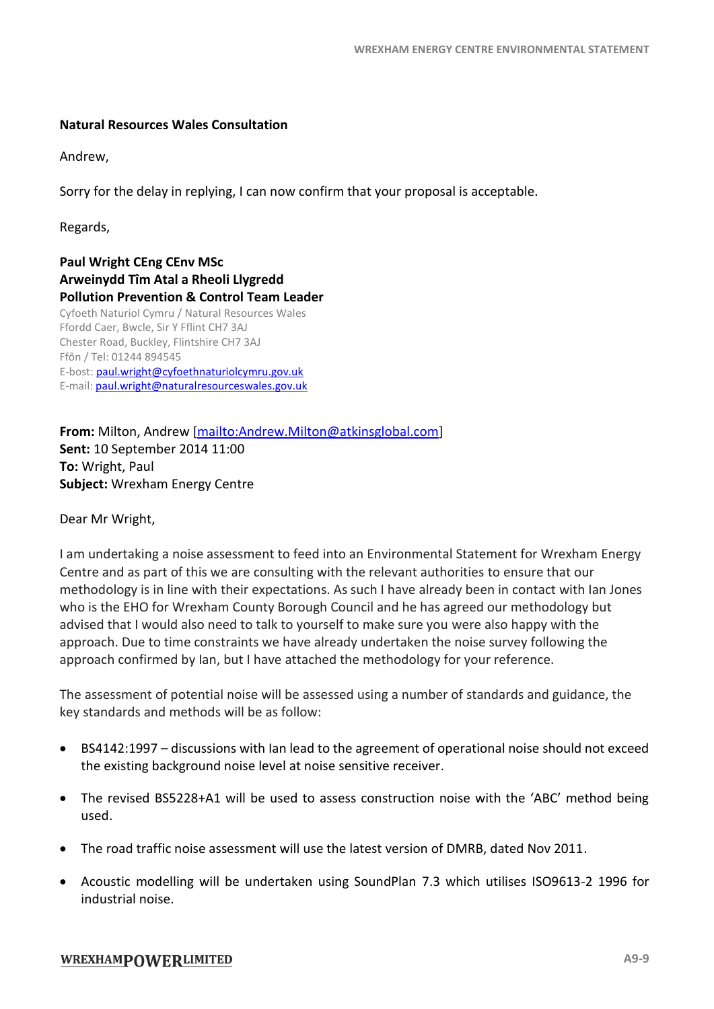#### **Natural Resources Wales Consultation**

Andrew,

Sorry for the delay in replying, I can now confirm that your proposal is acceptable.

Regards,

**Paul Wright CEng CEnv MSc Arweinydd Tîm Atal a Rheoli Llygredd Pollution Prevention & Control Team Leader** Cyfoeth Naturiol Cymru / Natural Resources Wales Ffordd Caer, Bwcle, Sir Y Fflint CH7 3AJ Chester Road, Buckley, Flintshire CH7 3AJ Ffôn / Tel: 01244 894545 E-bost: [paul.wright@cyfoethnaturiolcymru.gov.uk](mailto:paul.wright@cyfoethnaturiolcymru.gov.uk) E-mail: [paul.wright@naturalresourceswales.gov.uk](mailto:paul.wright@naturalresourceswales.gov.uk) 

**From:** Milton, Andrew [\[mailto:Andrew.Milton@atkinsglobal.com\]](mailto:Andrew.Milton@atkinsglobal.com) **Sent:** 10 September 2014 11:00 **To:** Wright, Paul **Subject:** Wrexham Energy Centre

Dear Mr Wright,

I am undertaking a noise assessment to feed into an Environmental Statement for Wrexham Energy Centre and as part of this we are consulting with the relevant authorities to ensure that our methodology is in line with their expectations. As such I have already been in contact with Ian Jones who is the EHO for Wrexham County Borough Council and he has agreed our methodology but advised that I would also need to talk to yourself to make sure you were also happy with the approach. Due to time constraints we have already undertaken the noise survey following the approach confirmed by Ian, but I have attached the methodology for your reference.

The assessment of potential noise will be assessed using a number of standards and guidance, the key standards and methods will be as follow:

- BS4142:1997 discussions with Ian lead to the agreement of operational noise should not exceed the existing background noise level at noise sensitive receiver.
- The revised BS5228+A1 will be used to assess construction noise with the 'ABC' method being used.
- The road traffic noise assessment will use the latest version of DMRB, dated Nov 2011.
- Acoustic modelling will be undertaken using SoundPlan 7.3 which utilises ISO9613-2 1996 for industrial noise.